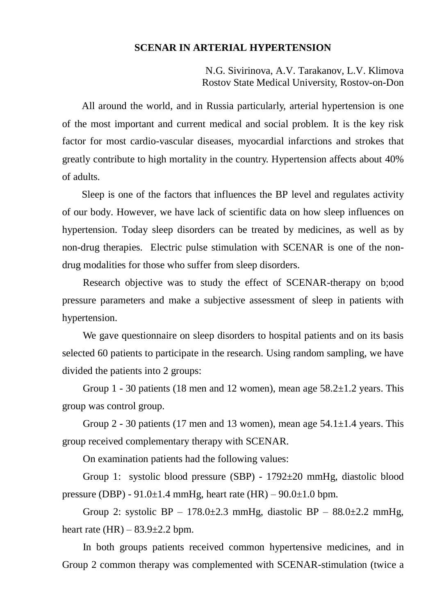## **SCENAR IN ARTERIAL HYPERTENSION**

N.G. Sivirinova, A.V. Tarakanov, L.V. Klimova Rostov State Medical University, Rostov-on-Don

All around the world, and in Russia particularly, arterial hypertension is one of the most important and current medical and social problem. It is the key risk factor for most cardio-vascular diseases, myocardial infarctions and strokes that greatly contribute to high mortality in the country. Hypertension affects about 40% of adults.

Sleep is one of the factors that influences the BP level and regulates activity of our body. However, we have lack of scientific data on how sleep influences on hypertension. Today sleep disorders can be treated by medicines, as well as by non-drug therapies. Electric pulse stimulation with SCENAR is one of the nondrug modalities for those who suffer from sleep disorders.

Research objective was to study the effect of SCENAR-therapy on b;ood pressure parameters and make a subjective assessment of sleep in patients with hypertension.

We gave questionnaire on sleep disorders to hospital patients and on its basis selected 60 patients to participate in the research. Using random sampling, we have divided the patients into 2 groups:

Group 1 - 30 patients (18 men and 12 women), mean age  $58.2 \pm 1.2$  years. This group was control group.

Group 2 - 30 patients (17 men and 13 women), mean age  $54.1 \pm 1.4$  years. This group received complementary therapy with SCENAR.

On examination patients had the following values:

Group 1: systolic blood pressure (SBP) - 1792±20 mmHg, diastolic blood pressure (DBP) -  $91.0\pm1.4$  mmHg, heart rate (HR) –  $90.0\pm1.0$  bpm.

Group 2: systolic BP – 178.0 $\pm$ 2.3 mmHg, diastolic BP – 88.0 $\pm$ 2.2 mmHg, heart rate  $(HR) - 83.9 \pm 2.2$  bpm.

In both groups patients received common hypertensive medicines, and in Group 2 common therapy was complemented with SCENAR-stimulation (twice a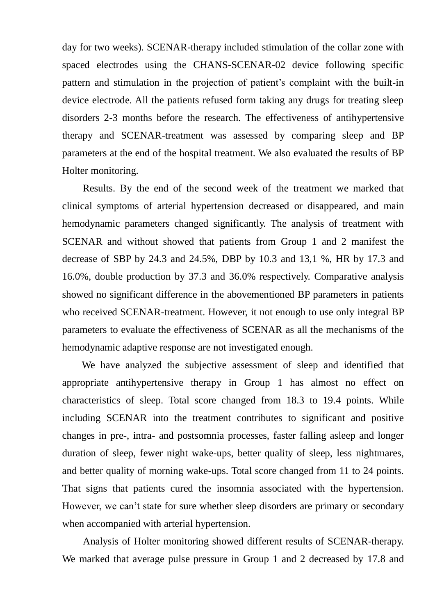day for two weeks). SCENAR-therapy included stimulation of the collar zone with spaced electrodes using the CHANS-SCENAR-02 device following specific pattern and stimulation in the projection of patient's complaint with the built-in device electrode. All the patients refused form taking any drugs for treating sleep disorders 2-3 months before the research. The effectiveness of antihypertensive therapy and SCENAR-treatment was assessed by comparing sleep and BP parameters at the end of the hospital treatment. We also evaluated the results of BP Holter monitoring.

Results. By the end of the second week of the treatment we marked that clinical symptoms of arterial hypertension decreased or disappeared, and main hemodynamic parameters changed significantly. The analysis of treatment with SCENAR and without showed that patients from Group 1 and 2 manifest the decrease of SBP by 24.3 and 24.5%, DBP by 10.3 and 13,1 %, HR by 17.3 and 16.0%, double production by 37.3 and 36.0% respectively. Comparative analysis showed no significant difference in the abovementioned BP parameters in patients who received SCENAR-treatment. However, it not enough to use only integral BP parameters to evaluate the effectiveness of SCENAR as all the mechanisms of the hemodynamic adaptive response are not investigated enough.

We have analyzed the subjective assessment of sleep and identified that appropriate antihypertensive therapy in Group 1 has almost no effect on characteristics of sleep. Total score changed from 18.3 to 19.4 points. While including SCENAR into the treatment contributes to significant and positive changes in pre-, intra- and postsomnia processes, faster falling asleep and longer duration of sleep, fewer night wake-ups, better quality of sleep, less nightmares, and better quality of morning wake-ups. Total score changed from 11 to 24 points. That signs that patients cured the insomnia associated with the hypertension. However, we can't state for sure whether sleep disorders are primary or secondary when accompanied with arterial hypertension.

Analysis of Holter monitoring showed different results of SCENAR-therapy. We marked that average pulse pressure in Group 1 and 2 decreased by 17.8 and